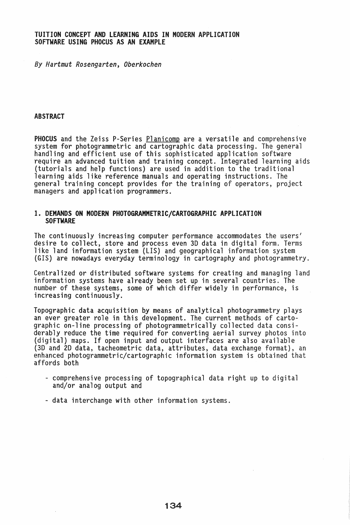# TUITION CONCEPT AND LEARNING AIDS IN MODERN APPLICATION SOFTWARE USING PHOCUS AS AN EXAMPLE

8y *Hartmut Rosengarten, Oberkochen* 

#### ABSTRACT

PHOCUS and the Zeiss P-Series Planicomp are a versatile and comprehensive system for photogrammetric and cartographic data processing. The general handling and efficient use of this sophisticated application software require an advanced tuition and training concept. Integrated learning aids (tutorials and help functions) are used in addition to the traditional learning aids like reference manuals and operating instructions. The general training concept provides for the training of operators, project managers and application programmers.

### 1. DEMANDS ON MODERN PHOTOGRAMMETRIC/CARTOGRAPHIC APPLICATION SOFTWARE

The continuously increasing computer performance accommodates the users' desire to collect, store and process even 3D data in digital form. Terms like land information system (LIS) and geographical information system (GIS) are nowadays everyday terminology in cartography and photogrammetry.

Centralized or distributed software systems for creating and managing land information systems have already been set up in several countries. The number of these systems, some of which differ widely in performance, is increasing continuously.

Topographic data acquisition by means of analytical photogrammetry plays an ever greater role in this development. The current methods of cartographic on-line processing of photogrammetrically collected data considerably reduce the time required for converting aerial survey photos into (digital) maps. If open input and output interfaces are also available (3D and 2D data, tacheometric data, attributes, data exchange format), an enhanced photogrammetric/cartographic information system is obtained that affords both

- comprehensive processing of topographical data right up to digital and/or analog output and
- data interchange with other information systems.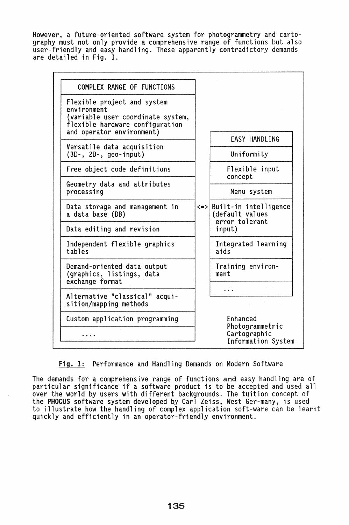However, a future-oriented software system for photogrammetry and cartography must not only provide a comprehensive range of functions but also user-friendly and easy handling. These apparently contradictory demands are detailed in Fig. 1.



Fig. 1: Performance and Handling Demands on Modern Software

The demands for a comprehensive range of functions and easy handling are of particular significance if a software product is to be accepted and used all over the world by users with different backgrounds. The tuition concept of the PHOCUS software system developed by Carl Zeiss, West Ger-many, is used to illustrate how the handling of complex application soft-ware can be learnt quickly and efficiently in an operator-friendly environment.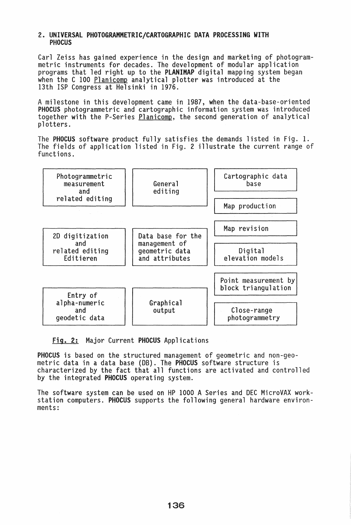### 2. UNIVERSAL PHOTOGRAMMETRIC/CARTOGRAPHIC DATA PROCESSING WITH PHOCUS

Carl Zeiss has gained experience in the design and marketing of photogram- metric instruments for decades. The development of modular application programs that led right up to the PLANIMAP digital mapping system began when the C 100 Planicomp analytical plotter was introduced at the 13th ISP Congress at Helsinki in 1976.

A milestone in this development came in 1987, when the data-base-oriented PHOCUS photogrammetric and cartographic information system was introduced together with the P-Series Planicomp, the second generation of analytical plotters.

The PHOCUS software product fully satisfies the demands listed in Fig. 1. The fields of application listed in Fig. 2 illustrate the current range of functions.



Fig. 2: Major Current PHOCUS Applications

PHOCUS is based on the structured management of geometric and non-geo- metric data in a data base (DB). The PHOCUS software structure is characterized by the fact that all functions are activated and controlled by the integrated PHOCUS operating system.

The software system can be used on HP 1000 A Series and DEC MicroVAX workstation computers. PHOCUS supports the following general hardware environments: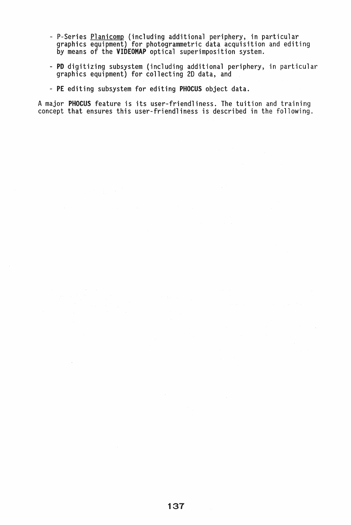- P-Series <u>Planicomp</u> (including additional periphery, in particular graphics equipment) for photogrammetric data acquisition and editing by means of the VIDEOMAP optical superimposition system.
- PD digitizing subsystem (including additional periphery, in particular graphics equipment) for collecting 2D data, and
- PE editing subsystem for editing PHOCUS object data.

A major PHOCUS feature is its user-friendliness. The tuition and training concept that ensures this user-friendliness is described in the following.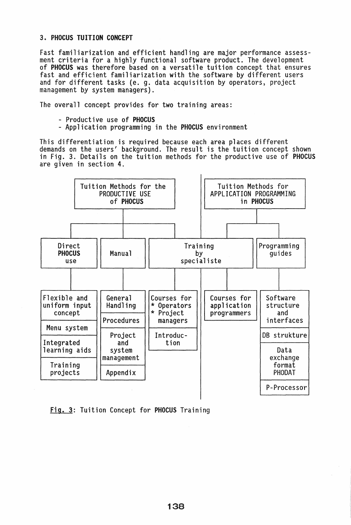# 3. PHOCUS TUITION CONCEPT

Fast familiarization and efficient handling are major performance assessment criteria for a highly functional software product. The development of PHOCUS was therefore based on a versatile tuition concept that ensures fast and efficient familiarization with the software by different users and for different tasks (e. g. data acquisition by operators, project management by system managers).

The overall concept provides for two training areas:

- 
- Productive use of PHOCUS<br>- Application programming in the PHOCUS environment

This differentiation is required because each area places different demands on the users' background. The result is the tuition concept shown in Fig. 3. Details on the tuition methods for the productive use of PHOCUS are given in section 4.



Fig. 3: Tuition Concept for PHOCUS Training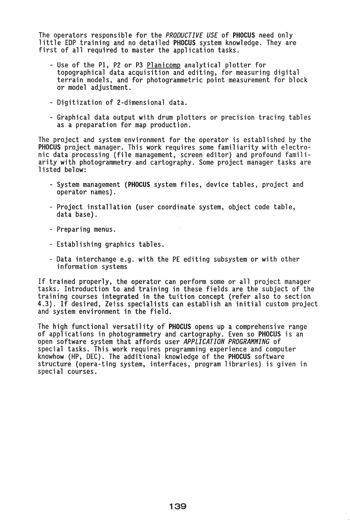The operators responsible for the *PRODUCTIVE USE* of PHOCUS need only little EDP training and no detailed PHOCUS system knowledge. They are first of all required to master the application tasks.

- Use of the P1, P2 or P3 Planicomp analytical plotter for<br>topographical data acquisition and editing, for measuring digital terrain models, and for photogrammetric point measurement for block or model adjustment.
- Digitization of 2-dimensional data.
- Graphical data output with drum plotters or precision tracing tables as a preparation for map production.

The project and system environment for the operator is established by the PHOCUS project manager. This work requires some familiarity with electronic data processing (file management, screen editor) and profound familiarity with photogrammetry and cartography. Some project manager tasks are listed below:

- System management (PHOCUS system files, device tables, project and operator names).
- Project installation (user coordinate system, object code table, data base).
- Preparing menus.
- Establishing graphics tables.
- Data interchange e.g. with the PE editing subsystem or with other information systems

If trained properly, the operator can perform some or all project manager tasks. Introduction to and training in these fields are the subject of the training courses integrated in the tuition concept (refer also to section 4.3). If desired, Zeiss specialists can establish an initial custom project and system environment in the field.

The high functional versatility of PHOCUS opens up a comprehensive range of applications in photogrammetry and cartography. Even so PHOCUS is an open software system that affords user *APPLICATION PROGRAMMING* of knowhow (HP, DEC). The additional knowledge of the PHOCUS software structure (opera-ting system, interfaces, program libraries) is given in special courses.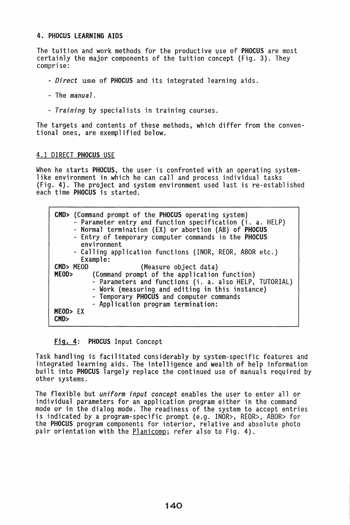# 4. PHOCUS lEARNING AIDS

The tuition and work methods for the productive use of PHOCUS are most certainly the major components of the tuition concept (Fig. 3). They comprise:

- *- Direct* use of PHOCUS and its integrated learning aids.
- The *manual.*
- *- Training* by specialists in training courses.

The targets and contents of these methods, which differ from the conventional ones, are exemplified below.

### 4.1 DIRECT PHOCUS USE

When he starts PHOCUS, the user is confronted with an operating system-<br>like environment in which he can call and process individual tasks (Fig. 4). The project and system environment used last is re-established each time **PHOCUS** is started.

| <b>CMD&gt;</b> (Command prompt of the PHOCUS operating system)<br>- Parameter entry and function specification (i. a. HELP)<br>- Normal termination (EX) or abortion (AB) of PHOCUS<br>- Entry of temporary computer commands in the PHOCUS<br>environment |
|------------------------------------------------------------------------------------------------------------------------------------------------------------------------------------------------------------------------------------------------------------|
| - Calling application functions (INOR, REOR, ABOR etc.)                                                                                                                                                                                                    |
| Example:                                                                                                                                                                                                                                                   |
| CMD> MEOD<br>(Measure object data)                                                                                                                                                                                                                         |
| MEOD><br>(Command prompt of the application function)<br>- Parameters and functions (i. a. also HELP, TUTORIAL)<br>- Work (measuring and editing in this instance)<br>- Temporary PHOCUS and computer commands<br>- Application program termination:       |
| MEOD> EX<br>CMD                                                                                                                                                                                                                                            |

# Fig. 4: PHOCUS Input Concept

Task handling is facilitated considerably by system-specific features and integrated learning aids. The intelligence and wealth of help information built into PHOCUS largely replace the continued use of manuals required by other systems.

The flexible but *uniform input concept* enables the user to enter all or individual parameters for an application program either in the command mode or in the dialog mode. The readiness of the system to accept entries is indicated by a program-specific prompt (e.g. INOR>, REOR>, ABOR> for the PHOCUS program components for interior, relative and absolute photo pair orientation with the Planicomp; refer also to Fig. 4).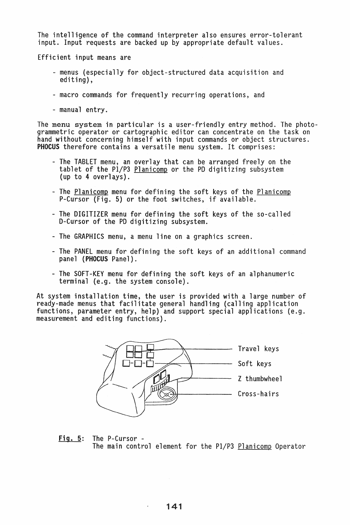The intelligence of the command interpreter also ensures error-tolerant input. Input requests are backed up by appropriate default values.

Efficient input means are

- menus (especially for object-structured data acquisition and editing),
- macro commands for frequently recurring operations, and
- manual entry.

The menu system in particular is a user-friendly entry method. The photo-grammetric operator or cartographic editor can concentrate on the task on hand without concerning himself with input commands or object structures. PHOCUS therefore contains a versatile menu system. It comprises:

- The TABLET menu, an overlay that can be arranged freely on the tablet of the Pl/P3 Planicomp or the PD digitizing subsystem (up to 4 overlays).
- The Planicomp menu for defining the soft keys of the Planicomp P-Cursor (Fig. 5) or the foot switches, if available.
- The DIGITIZER menu for defining the soft keys of the so-called D-Cursor of the PD digitizing subsystem.
- The GRAPHICS menu, a menu line on a graphics screen.
- The PANEL menu for defining the soft keys of an additional command panel (PHOCUS Panel).
- The SOFT-KEY menu for defining the soft keys of an alphanumeric terminal (e.g. the system console).

At system installation time, the user is provided with a large number of<br>ready-made menus that facilitate general handling (calling application functions, parameter entry, help) and support special applications (e.g. measurement and editing functions).



Fig. 5: The P-Cursor - The main control element for the Pl/P3 Planicomp Operator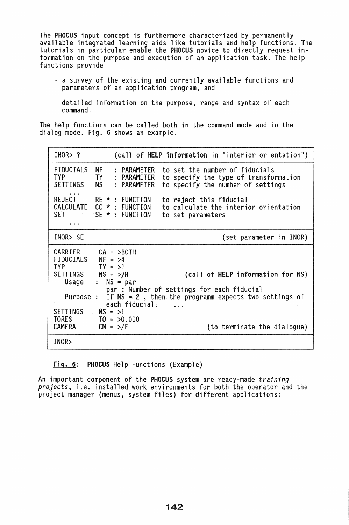The PHOCUS input concept is furthermore characterized by permanently available integrated learning aids like tutorials and help functions. The tutorials in particular enable the PHOCUS novice to directly request information on the purpose and execution of an application task. The help functions provide

- a survey of the existing and currently available functions and parameters of an application program, and
- detailed information on the purpose, range and syntax of each command.

The help functions can be called both in the command mode and in the dialog mode. Fig. 6 shows an example.

| INOR > ?                                                                                                                   | (call of HELP information in "interior orientation")                                                                                                                                                                                                                                                               |
|----------------------------------------------------------------------------------------------------------------------------|--------------------------------------------------------------------------------------------------------------------------------------------------------------------------------------------------------------------------------------------------------------------------------------------------------------------|
| FIDUCIALS<br><b>TYP</b><br>SETTINGS                                                                                        | <b>NF</b><br>: PARAMETER<br>to set the number of fiducials<br>TY : PARAMETER<br>to specify the type of transformation<br>to specify the number of settings<br><b>NS</b><br>: PARAMETER                                                                                                                             |
| $\ddot{\phantom{a}}$                                                                                                       | REJECT RE * : FUNCTION<br>to reject this fiducial<br>CALCULATE CC *: FUNCTION<br>to calculate the interior orientation<br>SET SE * : FUNCTION<br>to set parameters                                                                                                                                                 |
| INOR> SE                                                                                                                   | (set parameter in INOR)                                                                                                                                                                                                                                                                                            |
| $FIDUCIALS NF = >4$<br>TYP<br>SETTINGS $NS = \frac{>}{H}$<br>Usage<br>Purpose :<br>$SETTINGS$ $NS = >1$<br>TORES<br>CAMERA | $CARRIER$ $CA = >$ BOTH<br>$TY = >1$<br>(call of HELP information for NS)<br>$:$ NS = par<br>par : Number of settings for each fiducial<br>If $NS = 2$ , then the programm expects two settings of<br>each fiducial.<br>$\ddot{\phantom{0}}$<br>$TO = 50.010$<br>$CM = \frac{>}{E}$<br>(to terminate the dialogue) |
| INOR                                                                                                                       |                                                                                                                                                                                                                                                                                                                    |

Fig. 6: PHOCUS Help Functions (Example)

An important component of the PHOCUS system are ready-made *training projects,* i.e. installed work environments for both the operator and the project manager (menus, system files) for different applications: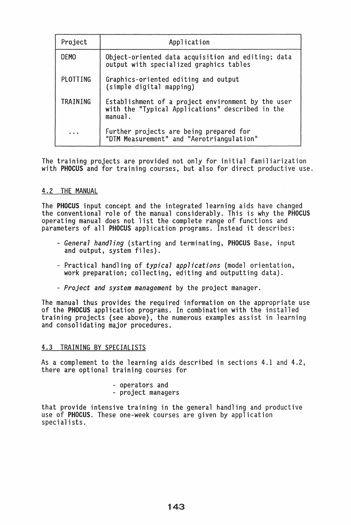| Project              | Application                                                                                                       |
|----------------------|-------------------------------------------------------------------------------------------------------------------|
| <b>DEMO</b>          | Object-oriented data acquisition and editing; data<br>output with specialized graphics tables                     |
| PLOTTING             | Graphics-oriented editing and output<br>(simple digital mapping)                                                  |
| TRAINING             | Establishment of a project environment by the user<br>with the "Typical Applications" described in the<br>manual. |
| $\ddot{\phantom{a}}$ | Further projects are being prepared for<br>"DTM Measurement" and "Aerotriangulation"                              |

The training projects are provided not only for initial familiarization with PHOCUS and for training courses, but also for direct productive use.

# 4.2 THE MANUAL

The PHOCUS input concept and the integrated learning aids have changed the conventional role of the manual considerably. This is why the PHOCUS operating manual does not list the complete range of functions and parameters of all PHOCUS application programs. Instead it describes:

- *- General handling* (starting and terminating, PHOCUS Base, input and output, system files).
- Practical handling of *typical applications* (model orientation, work preparation; collecting, editing and outputting data).
- *- Project and system management* by the project manager.

The manual thus provides the required information on the appropriate use of the PHOCUS application programs. In combination with the installed training projects (see above), the numerous examples assist in learning and consolidating major procedures.

# 4.3 TRAINING BY SPECIALISTS

As a complement to the learning aids described in sections 4.1 and 4.2, there are optional training courses for

- operators and project managers
- 

that provide intensive training in the general handling and productive use of PHOCUS. These one-week courses are given by application specialists.